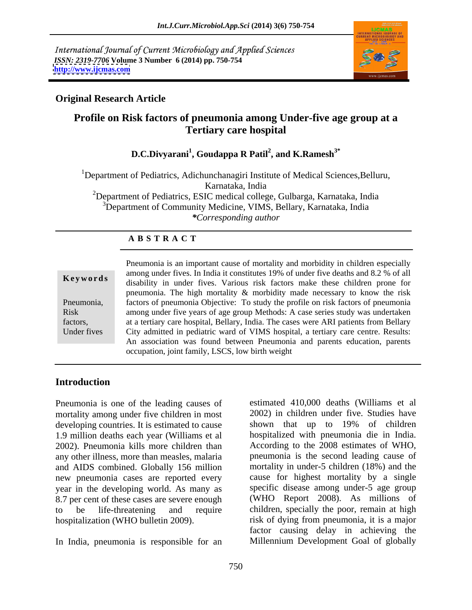International Journal of Current Microbiology and Applied Sciences *ISSN: 2319-7706* **Volume 3 Number 6 (2014) pp. 750-754 <http://www.ijcmas.com>**



#### **Original Research Article**

# **Profile on Risk factors of pneumonia among Under-five age group at a Tertiary care hospital**

#### **D.C.Divyarani<sup>1</sup> , Goudappa R Patil<sup>2</sup> , and K.Ramesh3\***

<sup>1</sup>Department of Pediatrics, Adichunchanagiri Institute of Medical Sciences, Belluru, Karnataka, India <sup>2</sup>Department of Pediatrics, ESIC medical college, Gulbarga, Karnataka, India <sup>3</sup>Department of Community Medicine, VIMS, Bellary, Karnataka, India *\*Corresponding author*

#### **A B S T R A C T**

| Keywords                                      |  |
|-----------------------------------------------|--|
| Pneumonia,<br>Risk<br>factors,<br>Under fives |  |
|                                               |  |

**Keywords** disability in under fives. Various risk factors make these children prone for disability in under fives. Various risk factors make these children prone for Pneumonia, factors of pneumonia Objective: To study the profile on risk factors of pneumonia Risk among under five years of age group Methods: A case series study was undertaken factors, at a tertiary care hospital, Bellary, India. The cases were ARI patients from Bellary Under fives City admitted in pediatric ward of VIMS hospital, a tertiary care centre. Results: Pneumonia is an important cause of mortality and morbidity in children especially among under fives. In India it constitutes 19% of under five deaths and 8.2 % of all pneumonia. The high mortality & morbidity made necessary to know the risk An association was found between Pneumonia and parents education, parents occupation, joint family, LSCS, low birth weight

### **Introduction**

Pneumonia is one of the leading causes of mortality among under five children in most developing countries. It is estimated to cause shown that up to 19% of children 1.9 million deaths each year (Williams et al 2002). Pneumonia kills more children than any other illness, more than measles, malaria and AIDS combined. Globally 156 million new pneumonia cases are reported every year in the developing world. As many as 8.7 per cent of these cases are severe enough

In India, pneumonia is responsible for an

to be life-threatening and require children, specially the poor, remain at high hospitalization (WHO bulletin 2009). risk of dying from pneumonia, it is a major estimated 410,000 deaths (Williams et al 2002) in children under five. Studies have shown that up to 19% of children hospitalized with pneumonia die in India. According to the 2008 estimates of WHO, pneumonia is the second leading cause of mortality in under-5 children (18%) and the cause for highest mortality by a single specific disease among under-5 age group (WHO Report 2008). As millions of factor causing delay in achieving the Millennium Development Goal of globally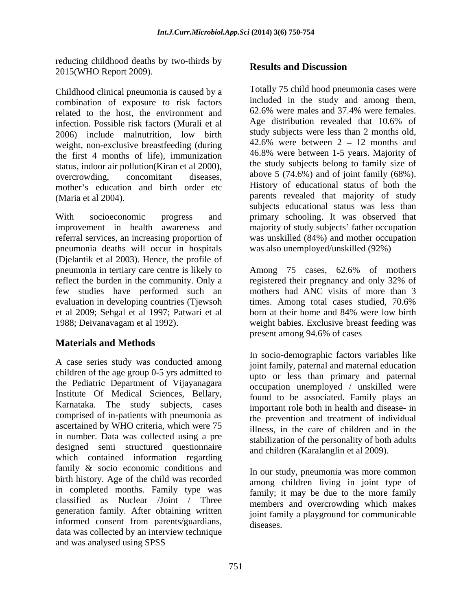reducing childhood deaths by two-thirds by<br> **Results and Discussion** 2015(WHO Report 2009).

Childhood clinical pneumonia is caused by a combination of exposure to risk factors related to the host, the environment and  $\frac{62.6\%}{2.6\%}$  were males and 37.4% were females.<br>infection Possible risk factors (Murali et al.) Age distribution revealed that 10.6% of infection. Possible risk factors (Murali et al 2006) include malnutrition, low birth weight, non-exclusive breastfeeding (during the first 4 months of life), immunization status, indoor air pollution(Kiran et al 2000), overcrowding, concomitant diseases, above 5 (74.6%) and of joint family (68%). mother's education and birth order etc (Maria et al 2004). parents revealed that majority of study

With socioeconomic progress and primary schooling. It was observed that improvement in health awareness and majority of study subjects' father occupation referral services, an increasing proportion of was unskilled (84%) and mother occupation pneumonia deaths will occur in hospitals (Djelantik et al 2003). Hence, the profile of pneumonia in tertiary care centre is likely to Among 75 cases, 62.6% of mothers reflect the burden in the community. Only a registered their pregnancy and only 32% of few studies have performed such an evaluation in developing countries (Tjewsoh times. Among total cases studied, 70.6%) et al 2009; Sehgal et al 1997; Patwari et al

## **Materials and Methods**

A case series study was conducted among children of the age group 0-5 yrs admitted to the Pediatric Department of Vijayanagara Institute Of Medical Sciences, Bellary, Karnataka. The study subjects, cases comprised of in-patients with pneumonia as ascertained by WHO criteria, which were 75 in number. Data was collected using a pre designed semi structured questionnaire which contained information regarding family & socio economic conditions and birth history. Age of the child was recorded in completed months. Family type was classified as Nuclear /Joint / Three generation family. After obtaining written informed consent from parents/guardians, data was collected by an interview technique and was analysed using SPSS

### **Results and Discussion**

Totally 75 child hood pneumonia cases were included in the study and among them, 62.6% were males and 37.4% were females. Age distribution revealed that 10.6% of study subjects were less than 2 months old, 42.6% were between  $2 - 12$  months and 46.8% were between 1-5 years. Majority of the study subjects belong to family size of History of educational status of both the subjects educational status was less than was also unemployed/unskilled (92%)

registered their pregnancy and only 32% of 1988; Deivanavagam et al 1992). weight babies. Exclusive breast feeding was Among 75 cases, 62.6% of mothers registered their pregnancy and only 32% of mothers had ANC visits of more than 3 times. Among total cases studied, 70.6% born at their home and 84% were low birth present among 94.6% of cases

> In socio-demographic factors variables like joint family, paternal and maternal education upto or less than primary and paternal occupation unemployed / unskilled were found to be associated. Family plays an important role both in health and disease- in the prevention and treatment of individual illness, in the care of children and in the stabilization of the personality of both adults and children (Karalanglin et al 2009).

> In our study, pneumonia was more common among children living in joint type of family; it may be due to the more family members and overcrowding which makes joint family a playground for communicable diseases.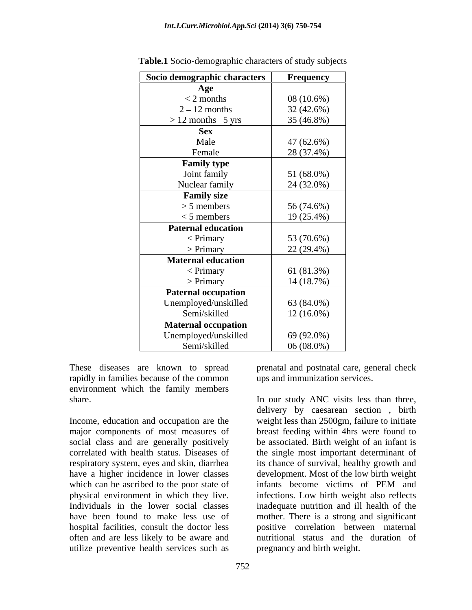| Socio demographic characters | Frequency     |
|------------------------------|---------------|
| Age                          |               |
| $<$ 2 months                 | $08(10.6\%)$  |
| $2 - 12$ months              | 32(42.6%)     |
| $> 12$ months $-5$ yrs       | 35 (46.8%)    |
| <b>Sex</b>                   |               |
| Male                         | 47 (62.6%)    |
| Female                       | 28 (37.4%)    |
| <b>Family type</b>           |               |
| Joint family                 | 51 $(68.0\%)$ |
| Nuclear family               | 24 (32.0%)    |
| <b>Family size</b>           |               |
| $>$ 5 members                | 56 (74.6%)    |
| $<$ 5 members                | 19 (25.4%)    |
| <b>Paternal education</b>    |               |
| $\langle$ Primary            | 53 (70.6%)    |
| $>$ Primary                  | $22(29.4\%)$  |
| <b>Maternal education</b>    |               |
| $<$ Primary                  | 61 (81.3%)    |
| $>$ Primary                  | 14 (18.7%)    |
| <b>Paternal occupation</b>   |               |
| Unemployed/unskilled         | 63 (84.0%)    |
| Semi/skilled                 | $12(16.0\%)$  |
| <b>Maternal occupation</b>   |               |
| Unemployed/unskilled         | 69 (92.0%)    |
| Semi/skilled                 | $06(08.0\%)$  |

**Table.1** Socio-demographic characters of study subjects

These diseases are known to spread prenatal and postnatal care, general check rapidly in families because of the common environment which the family members

major components of most measures of have a higher incidence in lower classes development. Most of the low birth weight which can be ascribed to the poor state of infants become victims of PEM and which can be ascribed to the poor state of hospital facilities, consult the doctor less often and are less likely to be aware and utilize preventive health services such as

ups and immunization services.

share. In our study ANC visits less than three, Income, education and occupation are the weight less than 2500gm, failure to initiate social class and are generally positively be associated. Birth weight of an infant is correlated with health status. Diseases of the single most important determinant of respiratory system, eyes and skin, diarrhea its chance of survival, healthy growth and physical environment in which they live. infections. Low birth weight also reflects Individuals in the lower social classes inadequate nutrition and ill health of the have been found to make less use of mother. There is a strong and significant delivery by caesarean section , birth breast feeding within 4hrs were found to development. Most of the low birth weight infants become victims of PEM and positive correlation between maternal nutritional status and the duration of pregnancy and birth weight.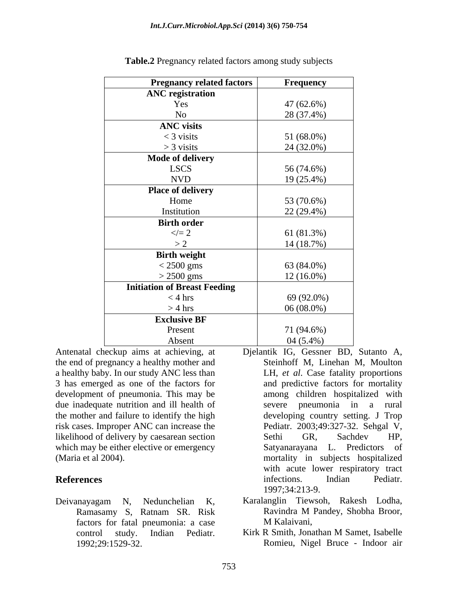| <b>Pregnancy related factors</b>    | <b>Frequency</b> |
|-------------------------------------|------------------|
| <b>ANC</b> registration             |                  |
| Yes                                 | 47 (62.6%)       |
| No                                  | 28 (37.4%)       |
| <b>ANC</b> visits                   |                  |
| $<$ 3 visits                        | 51 (68.0%)       |
| $>$ 3 visits                        | 24 (32.0%)       |
| <b>Mode of delivery</b>             |                  |
| <b>LSCS</b>                         | 56 (74.6%)       |
| <b>NVD</b>                          | $19(25.4\%)$     |
| <b>Place of delivery</b>            |                  |
| Home                                | 53 (70.6%)       |
| Institution                         | 22 (29.4%)       |
| <b>Birth order</b>                  |                  |
| $\lt$ /= 2                          | 61 (81.3%)       |
| >2                                  | 14 (18.7%)       |
| <b>Birth weight</b>                 |                  |
| $<$ 2500 gms                        | 63 (84.0%)       |
| $>$ 2500 gms                        | $12(16.0\%)$     |
| <b>Initiation of Breast Feeding</b> |                  |
| $<$ 4 hrs                           | 69 (92.0%)       |
| $>$ 4 hrs                           | $06(08.0\%)$     |
| <b>Exclusive BF</b>                 |                  |
| Present                             | 71 (94.6%)       |
| Absent                              | $04(5.4\%)$      |

**Table.2** Pregnancy related factors among study subjects

Antenatal checkup aims at achieving, at the end of pregnancy a healthy mother and a healthy baby. In our study ANC less than 3 has emerged as one of the factors for development of pneumonia. This may be due inadequate nutrition and ill health of the mother and failure to identify the high risk cases. Improper ANC can increase the likelihood of delivery by caesarean section Sethi GR, Sachdev HP, which may be either elective or emergency<br>
(Maria et al 2004). Satyanarayana L. Predictors of<br>
mortality in subjects hospitalized

- Deivanayagam N, Nedunchelian K, factors for fatal pneumonia: a case M Kalaivani,
- (Maria et al 2004). The mortality in subjects hospitalized **References** and *infections*. Indian *Pediatr.* Djelantik IG, Gessner BD, Sutanto A, Steinhoff M, Linehan M, Moulton LH, *et al*. Case fatality proportions and predictive factors for mortality among children hospitalized with severe pneumonia in a rural developing country setting. J Trop Pediatr. 2003;49:327-32. Sehgal V, Sethi GR, Sachdev HP, Satyanarayana L. Predictors with acute lower respiratory tract infections. Indian Pediatr. 1997;34:213-9.
	- Ramasamy S, Ratnam SR. Risk Karalanglin Tiewsoh, Rakesh Lodha, Ravindra <sup>M</sup> Pandey, Shobha Broor, M Kalaivani,
	- control study. Indian Pediatr. 1992;29:1529-32. Romieu, Nigel Bruce - Indoor airKirk R Smith, Jonathan M Samet, Isabelle